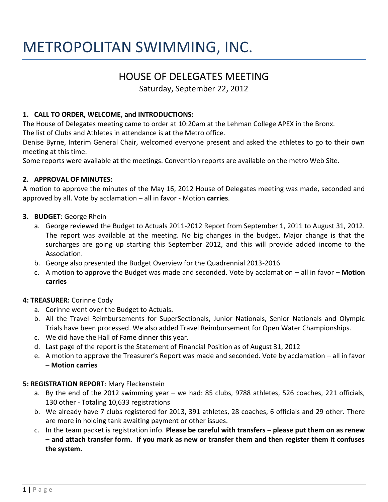# METROPOLITAN SWIMMING, INC.

# HOUSE OF DELEGATES MEETING

Saturday, September 22, 2012

### **1. CALL TO ORDER, WELCOME, and INTRODUCTIONS:**

The House of Delegates meeting came to order at 10:20am at the Lehman College APEX in the Bronx.

The list of Clubs and Athletes in attendance is at the Metro office.

Denise Byrne, Interim General Chair, welcomed everyone present and asked the athletes to go to their own meeting at this time.

Some reports were available at the meetings. Convention reports are available on the metro Web Site.

#### **2. APPROVAL OF MINUTES:**

A motion to approve the minutes of the May 16, 2012 House of Delegates meeting was made, seconded and approved by all. Vote by acclamation – all in favor - Motion **carries**.

- **3. BUDGET**: George Rhein
	- a. George reviewed the Budget to Actuals 2011-2012 Report from September 1, 2011 to August 31, 2012. The report was available at the meeting. No big changes in the budget. Major change is that the surcharges are going up starting this September 2012, and this will provide added income to the Association.
	- b. George also presented the Budget Overview for the Quadrennial 2013-2016
	- c. A motion to approve the Budget was made and seconded. Vote by acclamation all in favor **Motion carries**

#### **4: TREASURER:** Corinne Cody

- a. Corinne went over the Budget to Actuals.
- b. All the Travel Reimbursements for SuperSectionals, Junior Nationals, Senior Nationals and Olympic Trials have been processed. We also added Travel Reimbursement for Open Water Championships.
- c. We did have the Hall of Fame dinner this year.
- d. Last page of the report is the Statement of Financial Position as of August 31, 2012
- e. A motion to approve the Treasurer's Report was made and seconded. Vote by acclamation all in favor – **Motion carries**

# **5: REGISTRATION REPORT**: Mary Fleckenstein

- a. By the end of the 2012 swimming year we had: 85 clubs, 9788 athletes, 526 coaches, 221 officials, 130 other - Totaling 10,633 registrations
- b. We already have 7 clubs registered for 2013, 391 athletes, 28 coaches, 6 officials and 29 other. There are more in holding tank awaiting payment or other issues.
- c. In the team packet is registration info. **Please be careful with transfers – please put them on as renew – and attach transfer form. If you mark as new or transfer them and then register them it confuses the system.**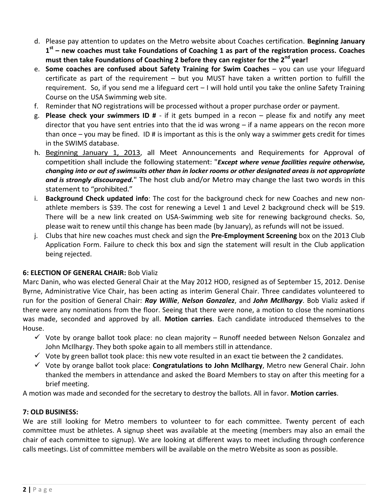- d. Please pay attention to updates on the Metro website about Coaches certification. **Beginning January 1 st – new coaches must take Foundations of Coaching 1 as part of the registration process. Coaches must then take Foundations of Coaching 2 before they can register for the 2nd year!**
- e. **Some coaches are confused about Safety Training for Swim Coaches** you can use your lifeguard certificate as part of the requirement – but you MUST have taken a written portion to fulfill the requirement. So, if you send me a lifeguard cert – I will hold until you take the online Safety Training Course on the USA Swimming web site.
- f. Reminder that NO registrations will be processed without a proper purchase order or payment.
- g. **Please check your swimmers ID #**  if it gets bumped in a recon please fix and notify any meet director that you have sent entries into that the id was wrong – if a name appears on the recon more than once  $-$  you may be fined. ID # is important as this is the only way a swimmer gets credit for times in the SWIMS database.
- h. Beginning January 1, 2013, all Meet Announcements and Requirements for Approval of competition shall include the following statement: "*Except where venue facilities require otherwise, changing into or out of swimsuits other than in locker rooms or other designated areas is not appropriate*  and is strongly discouraged." The host club and/or Metro may change the last two words in this statement to "prohibited."
- i. **Background Check updated info**: The cost for the background check for new Coaches and new nonathlete members is \$39. The cost for renewing a Level 1 and Level 2 background check will be \$19. There will be a new link created on USA-Swimming web site for renewing background checks. So, please wait to renew until this change has been made (by January), as refunds will not be issued.
- j. Clubs that hire new coaches must check and sign the **Pre-Employment Screening** box on the 2013 Club Application Form. Failure to check this box and sign the statement will result in the Club application being rejected.

# **6: ELECTION OF GENERAL CHAIR:** Bob Vializ

Marc Danin, who was elected General Chair at the May 2012 HOD, resigned as of September 15, 2012. Denise Byrne, Administrative Vice Chair, has been acting as interim General Chair. Three candidates volunteered to run for the position of General Chair: *Ray Willie*, *Nelson Gonzalez*, and *John McIlhargy*. Bob Vializ asked if there were any nominations from the floor. Seeing that there were none, a motion to close the nominations was made, seconded and approved by all. **Motion carries**. Each candidate introduced themselves to the House.

- $\checkmark$  Vote by orange ballot took place: no clean majority Runoff needed between Nelson Gonzalez and John McIlhargy. They both spoke again to all members still in attendance.
- $\checkmark$  Vote by green ballot took place: this new vote resulted in an exact tie between the 2 candidates.
- Vote by orange ballot took place: **Congratulations to John McIlhargy**, Metro new General Chair. John thanked the members in attendance and asked the Board Members to stay on after this meeting for a brief meeting.

A motion was made and seconded for the secretary to destroy the ballots. All in favor. **Motion carries**.

# **7: OLD BUSINESS:**

We are still looking for Metro members to volunteer to for each committee. Twenty percent of each committee must be athletes. A signup sheet was available at the meeting (members may also an email the chair of each committee to signup). We are looking at different ways to meet including through conference calls meetings. List of committee members will be available on the metro Website as soon as possible.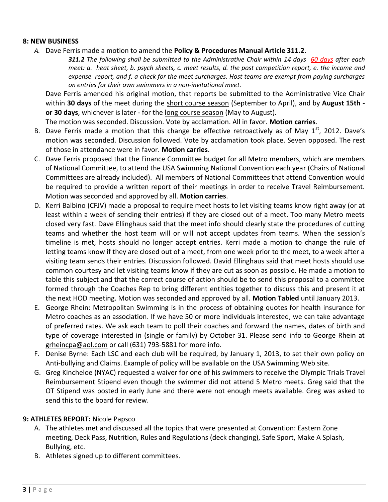#### **8: NEW BUSINESS**

*A.* Dave Ferris made a motion to amend the **Policy & Procedures Manual Article 311.2**.

*311.2 The following shall be submitted to the Administrative Chair within 14 days 60 days after each meet: a. heat sheet, b. psych sheets, c. meet results, d. the post competition report, e. the income and expense report, and f. a check for the meet surcharges. Host teams are exempt from paying surcharges on entries for their own swimmers in a non-invitational meet.* 

Dave Ferris amended his original motion, that reports be submitted to the Administrative Vice Chair within **30 days** of the meet during the short course season (September to April), and by **August 15th or 30 days**, whichever is later - for the long course season (May to August).

The motion was seconded. Discussion. Vote by acclamation. All in favor. **Motion carries**.

- B. Dave Ferris made a motion that this change be effective retroactively as of May  $1<sup>st</sup>$ , 2012. Dave's motion was seconded. Discussion followed. Vote by acclamation took place. Seven opposed. The rest of those in attendance were in favor. **Motion carries**.
- C. Dave Ferris proposed that the Finance Committee budget for all Metro members, which are members of National Committee, to attend the USA Swimming National Convention each year (Chairs of National Committees are already included). All members of National Committees that attend Convention would be required to provide a written report of their meetings in order to receive Travel Reimbursement. Motion was seconded and approved by all. **Motion carries**.
- D. Kerri Balbino (CFJV) made a proposal to require meet hosts to let visiting teams know right away (or at least within a week of sending their entries) if they are closed out of a meet. Too many Metro meets closed very fast. Dave Ellinghaus said that the meet info should clearly state the procedures of cutting teams and whether the host team will or will not accept updates from teams. When the session's timeline is met, hosts should no longer accept entries. Kerri made a motion to change the rule of letting teams know if they are closed out of a meet, from one week prior to the meet, to a week after a visiting team sends their entries. Discussion followed. David Ellinghaus said that meet hosts should use common courtesy and let visiting teams know if they are cut as soon as possible. He made a motion to table this subject and that the correct course of action should be to send this proposal to a committee formed through the Coaches Rep to bring different entities together to discuss this and present it at the next HOD meeting. Motion was seconded and approved by all. **Motion Tabled** until January 2013.
- E. George Rhein: Metropolitan Swimming is in the process of obtaining quotes for health insurance for Metro coaches as an association. If we have 50 or more individuals interested, we can take advantage of preferred rates. We ask each team to poll their coaches and forward the names, dates of birth and type of coverage interested in (single or family) by October 31. Please send info to George Rhein at [grheincpa@aol.com](mailto:grheincpa@aol.com) or call (631) 793-5881 for more info.
- F. Denise Byrne: Each LSC and each club will be required, by January 1, 2013, to set their own policy on Anti-bullying and Claims. Example of policy will be available on the USA Swimming Web site.
- G. Greg Kincheloe (NYAC) requested a waiver for one of his swimmers to receive the Olympic Trials Travel Reimbursement Stipend even though the swimmer did not attend 5 Metro meets. Greg said that the OT Stipend was posted in early June and there were not enough meets available. Greg was asked to send this to the board for review.

#### **9: ATHLETES REPORT:** Nicole Papsco

- A. The athletes met and discussed all the topics that were presented at Convention: Eastern Zone meeting, Deck Pass, Nutrition, Rules and Regulations (deck changing), Safe Sport, Make A Splash, Bullying, etc.
- B. Athletes signed up to different committees.